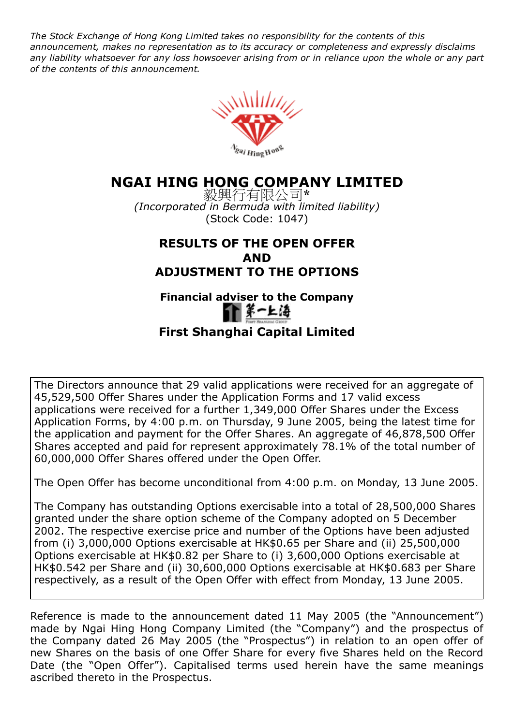The Stock Exchange of Hong Kong Limited takes no responsibility for the contents of this announcement, makes no representation as to its accuracy or completeness and expressly disclaims any liability whatsoever for any loss howsoever arising from or in reliance upon the whole or any part of the contents of this announcement.



# NGAI HING HONG COMPANY LIMITED

毅興行有限公司\* (Incorporated in Bermuda with limited liability) (Stock Code: 1047)

## RESULTS OF THE OPEN OFFER AND ADJUSTMENT TO THE OPTIONS

# Financial adviser to the Company



# First Shanghai Capital Limited

The Directors announce that 29 valid applications were received for an aggregate of 45,529,500 Offer Shares under the Application Forms and 17 valid excess applications were received for a further 1,349,000 Offer Shares under the Excess Application Forms, by 4:00 p.m. on Thursday, 9 June 2005, being the latest time for the application and payment for the Offer Shares. An aggregate of 46,878,500 Offer Shares accepted and paid for represent approximately 78.1% of the total number of 60,000,000 Offer Shares offered under the Open Offer.

The Open Offer has become unconditional from 4:00 p.m. on Monday, 13 June 2005.

The Company has outstanding Options exercisable into a total of 28,500,000 Shares granted under the share option scheme of the Company adopted on 5 December 2002. The respective exercise price and number of the Options have been adjusted from (i) 3,000,000 Options exercisable at HK\$0.65 per Share and (ii) 25,500,000 Options exercisable at HK\$0.82 per Share to (i) 3,600,000 Options exercisable at HK\$0.542 per Share and (ii) 30,600,000 Options exercisable at HK\$0.683 per Share respectively, as a result of the Open Offer with effect from Monday, 13 June 2005.

Reference is made to the announcement dated 11 May 2005 (the "Announcement") made by Ngai Hing Hong Company Limited (the "Company") and the prospectus of the Company dated 26 May 2005 (the "Prospectus") in relation to an open offer of new Shares on the basis of one Offer Share for every five Shares held on the Record Date (the "Open Offer"). Capitalised terms used herein have the same meanings ascribed thereto in the Prospectus.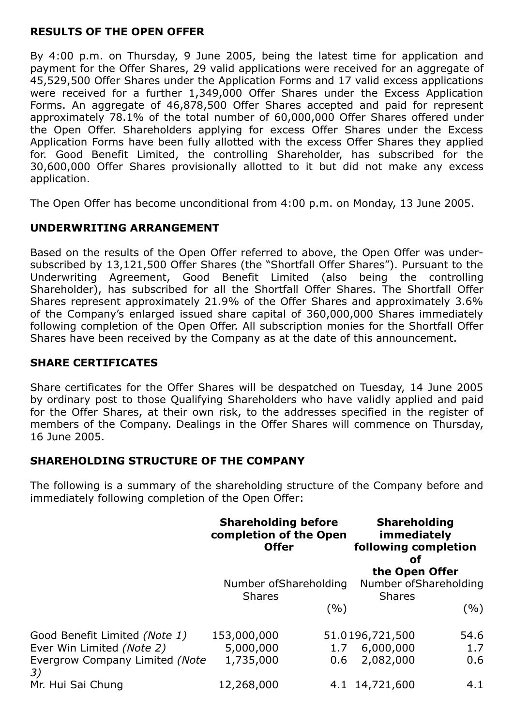#### RESULTS OF THE OPEN OFFER

By 4:00 p.m. on Thursday, 9 June 2005, being the latest time for application and payment for the Offer Shares, 29 valid applications were received for an aggregate of 45,529,500 Offer Shares under the Application Forms and 17 valid excess applications were received for a further 1,349,000 Offer Shares under the Excess Application Forms. An aggregate of 46,878,500 Offer Shares accepted and paid for represent approximately 78.1% of the total number of 60,000,000 Offer Shares offered under the Open Offer. Shareholders applying for excess Offer Shares under the Excess Application Forms have been fully allotted with the excess Offer Shares they applied for. Good Benefit Limited, the controlling Shareholder, has subscribed for the 30,600,000 Offer Shares provisionally allotted to it but did not make any excess application.

The Open Offer has become unconditional from 4:00 p.m. on Monday, 13 June 2005.

#### UNDERWRITING ARRANGEMENT

Based on the results of the Open Offer referred to above, the Open Offer was undersubscribed by 13,121,500 Offer Shares (the "Shortfall Offer Shares"). Pursuant to the Underwriting Agreement, Good Benefit Limited (also being the controlling Shareholder), has subscribed for all the Shortfall Offer Shares. The Shortfall Offer Shares represent approximately 21.9% of the Offer Shares and approximately 3.6% of the Company's enlarged issued share capital of 360,000,000 Shares immediately following completion of the Open Offer. All subscription monies for the Shortfall Offer Shares have been received by the Company as at the date of this announcement.

#### SHARE CERTIFICATES

Share certificates for the Offer Shares will be despatched on Tuesday, 14 June 2005 by ordinary post to those Qualifying Shareholders who have validly applied and paid for the Offer Shares, at their own risk, to the addresses specified in the register of members of the Company. Dealings in the Offer Shares will commence on Thursday, 16 June 2005.

#### SHAREHOLDING STRUCTURE OF THE COMPANY

The following is a summary of the shareholding structure of the Company before and immediately following completion of the Open Offer:

|                                      | <b>Shareholding before</b><br>completion of the Open<br><b>Offer</b><br>Number of Shareholding |      | <b>Shareholding</b><br>immediately<br>following completion<br>οf<br>the Open Offer<br>Number of Shareholding |      |
|--------------------------------------|------------------------------------------------------------------------------------------------|------|--------------------------------------------------------------------------------------------------------------|------|
|                                      |                                                                                                |      |                                                                                                              |      |
|                                      | <b>Shares</b>                                                                                  |      | <b>Shares</b>                                                                                                |      |
|                                      |                                                                                                | ( %) |                                                                                                              | (%)  |
| Good Benefit Limited (Note 1)        | 153,000,000                                                                                    |      | 51.0196,721,500                                                                                              | 54.6 |
| Ever Win Limited (Note 2)            | 5,000,000                                                                                      | 1.7  | 6,000,000                                                                                                    | 1.7  |
| Evergrow Company Limited (Note<br>3) | 1,735,000                                                                                      | 0.6  | 2,082,000                                                                                                    | 0.6  |
| Mr. Hui Sai Chung                    | 12,268,000                                                                                     |      | 4.1 14,721,600                                                                                               | 4.1  |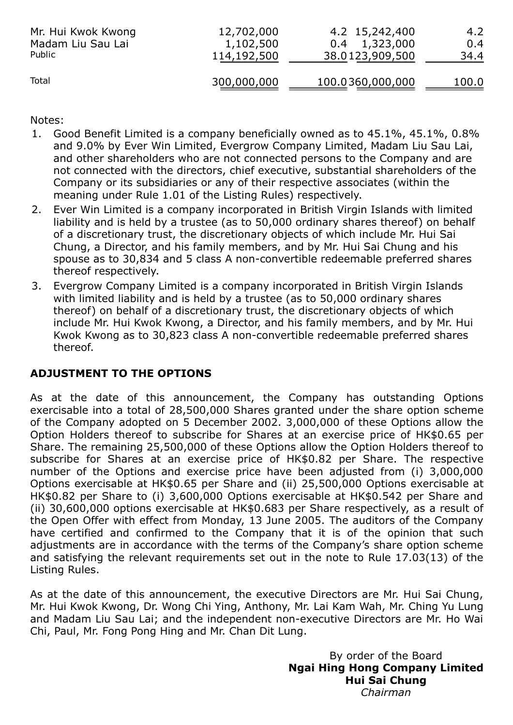| Mr. Hui Kwok Kwong | 12,702,000  | 4.2 15,242,400   | 4.2   |
|--------------------|-------------|------------------|-------|
| Madam Liu Sau Lai  | 1,102,500   | $0.4$ 1,323,000  | 0.4   |
| Public             | 114,192,500 | 38.0123,909,500  | 34.4  |
| Total              | 300,000,000 | 100.0360,000,000 | 100.0 |

Notes:

- 1. Good Benefit Limited is a company beneficially owned as to 45.1%, 45.1%, 0.8% and 9.0% by Ever Win Limited, Evergrow Company Limited, Madam Liu Sau Lai, and other shareholders who are not connected persons to the Company and are not connected with the directors, chief executive, substantial shareholders of the Company or its subsidiaries or any of their respective associates (within the meaning under Rule 1.01 of the Listing Rules) respectively.
- 2. Ever Win Limited is a company incorporated in British Virgin Islands with limited liability and is held by a trustee (as to 50,000 ordinary shares thereof) on behalf of a discretionary trust, the discretionary objects of which include Mr. Hui Sai Chung, a Director, and his family members, and by Mr. Hui Sai Chung and his spouse as to 30,834 and 5 class A non-convertible redeemable preferred shares thereof respectively.
- 3. Evergrow Company Limited is a company incorporated in British Virgin Islands with limited liability and is held by a trustee (as to 50,000 ordinary shares thereof) on behalf of a discretionary trust, the discretionary objects of which include Mr. Hui Kwok Kwong, a Director, and his family members, and by Mr. Hui Kwok Kwong as to 30,823 class A non-convertible redeemable preferred shares thereof.

## ADJUSTMENT TO THE OPTIONS

As at the date of this announcement, the Company has outstanding Options exercisable into a total of 28,500,000 Shares granted under the share option scheme of the Company adopted on 5 December 2002. 3,000,000 of these Options allow the Option Holders thereof to subscribe for Shares at an exercise price of HK\$0.65 per Share. The remaining 25,500,000 of these Options allow the Option Holders thereof to subscribe for Shares at an exercise price of HK\$0.82 per Share. The respective number of the Options and exercise price have been adjusted from (i) 3,000,000 Options exercisable at HK\$0.65 per Share and (ii) 25,500,000 Options exercisable at HK\$0.82 per Share to (i) 3,600,000 Options exercisable at HK\$0.542 per Share and (ii) 30,600,000 options exercisable at HK\$0.683 per Share respectively, as a result of the Open Offer with effect from Monday, 13 June 2005. The auditors of the Company have certified and confirmed to the Company that it is of the opinion that such adjustments are in accordance with the terms of the Company's share option scheme and satisfying the relevant requirements set out in the note to Rule 17.03(13) of the Listing Rules.

As at the date of this announcement, the executive Directors are Mr. Hui Sai Chung, Mr. Hui Kwok Kwong, Dr. Wong Chi Ying, Anthony, Mr. Lai Kam Wah, Mr. Ching Yu Lung and Madam Liu Sau Lai; and the independent non-executive Directors are Mr. Ho Wai Chi, Paul, Mr. Fong Pong Hing and Mr. Chan Dit Lung.

> By order of the Board Ngai Hing Hong Company Limited Hui Sai Chung Chairman